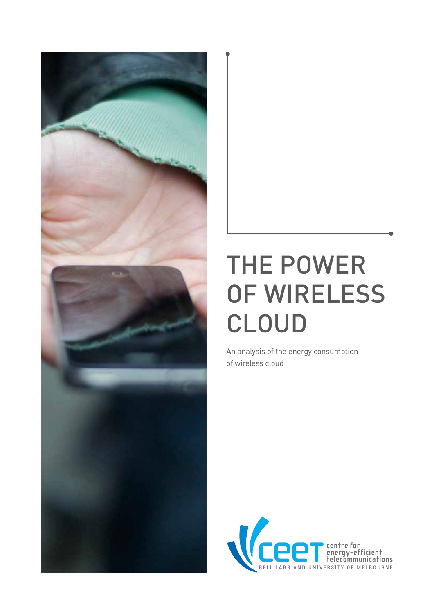

# THE POWER OF WIRELESS CLOUD

An analysis of the energy consumption of wireless cloud

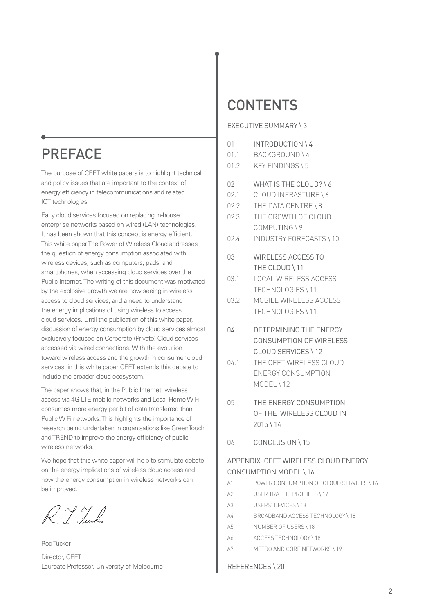## **PREFACE**

The purpose of CEET white papers is to highlight technical and policy issues that are important to the context of energy efficiency in telecommunications and related ICT technologies.

Early cloud services focused on replacing in-house enterprise networks based on wired (LAN) technologies. It has been shown that this concept is energy efficient. This white paper The Power of Wireless Cloud addresses the question of energy consumption associated with wireless devices, such as computers, pads, and smartphones, when accessing cloud services over the Public Internet. The writing of this document was motivated by the explosive growth we are now seeing in wireless access to cloud services, and a need to understand the energy implications of using wireless to access cloud services. Until the publication of this white paper, discussion of energy consumption by cloud services almost exclusively focused on Corporate (Private) Cloud services accessed via wired connections. With the evolution toward wireless access and the growth in consumer cloud services, in this white paper CEET extends this debate to include the broader cloud ecosystem.

The paper shows that, in the Public Internet, wireless access via 4G LTE mobile networks and Local Home WiFi consumes more energy per bit of data transferred than Public WiFi networks. This highlights the importance of research being undertaken in organisations like GreenTouch and TREND to improve the energy efficiency of public wireless networks.

We hope that this white paper will help to stimulate debate on the energy implications of wireless cloud access and how the energy consumption in wireless networks can be improved.

R. Y Turken

Rod Tucker Director, CEET Laureate Professor, University of Melbourne

## **CONTENTS**

#### EXECUTIVE SUMMARY \ 3

- 01 INTRODUCTION \ 4
- 01.1 BACKGROUND \ 4
- 01.2 KEY FINDINGS \ 5
- 02 WHAT IS THE CLOUD? \6
- 02.1 CLOUD INFRASTURE \ 6
- 02.2 THE DATA CENTRE \ 8
- 02.3 THE GROWTH OF CLOUD COMPUTING \ 9
- 02.4 INDUSTRY FORECASTS \ 10
- 03 WIRELESS ACCESS TO THE CLOUD \ 11
- 03.1 LOCAL WIRELESS ACCESS TECHNOLOGIES \ 11
- 03.2 MOBILE WIRELESS ACCESS TECHNOLOGIES \ 11
- 04 DETERMINING THE ENERGY CONSUMPTION OF WIRELESS CLOUD SERVICES \ 12
- 04.1 THE CEET WIRELESS CLOUD ENERGY CONSUMPTION MODEL \ 12
- 05 THE ENERGY CONSUMPTION OF THE WIRELESS CLOUD IN  $2015 \mid 14$
- 06 CONCLUSION \ 15

#### APPENDIX: CEET WIRELESS CLOUD ENERGY CONSUMPTION MODEL \ 16

- A1 POWER CONSUMPTION OF CLOUD SERVICES \ 16
- A2 USER TRAFFIC PROFILES \17
- A3 USERS' DEVICES \18
- A4 BROADBAND ACCESS TECHNOLOGY \18
- A5 NUMBER OF USERS \ 18
- A6 ACCESS TECHNOLOGY \18
- A7 METRO AND CORE NETWORKS \ 19

#### REFERENCES \ 20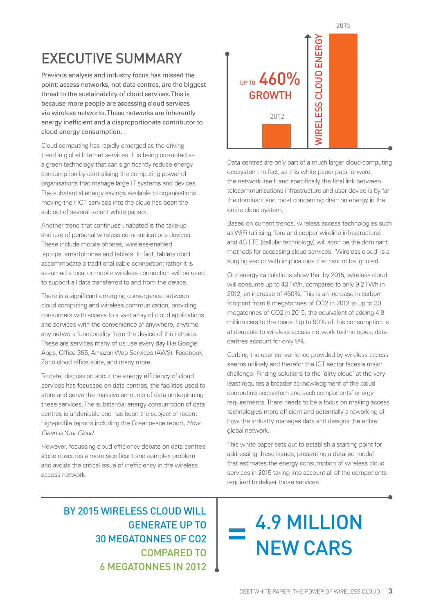2015

## EXECUTIVE SUMMARY

Previous analysis and industry focus has missed the point: access networks, not data centres, are the biggest threat to the sustainability of cloud services. This is because more people are accessing cloud services via wireless networks. These networks are inherently energy inefficient and a disproportionate contributor to cloud energy consumption.

Cloud computing has rapidly emerged as the driving trend in global Internet services. It is being promoted as a green technology that can significantly reduce energy consumption by centralising the computing power of organisations that manage large IT systems and devices. The substantial energy savings available to organisations moving their ICT services into the cloud has been the subject of several recent white papers.

Another trend that continues unabated is the take-up and use of personal wireless communications devices. These include mobile phones, wireless-enabled laptops, smartphones and tablets. In fact, tablets don't accommodate a traditional cable connection; rather it is assumed a local or mobile wireless connection will be used to support all data transferred to and from the device.

There is a significant emerging convergence between cloud computing and wireless communication, providing consumers with access to a vast array of cloud applications and services with the convenience of anywhere, anytime, any network functionality from the device of their choice. These are services many of us use every day like Google Apps, Office 365, Amazon Web Services (AWS), Facebook, Zoho cloud office suite, and many more.

To date, discussion about the energy efficiency of cloud services has focussed on data centres, the facilities used to store and serve the massive amounts of data underpinning these services. The substantial energy consumption of data centres is undeniable and has been the subject of recent high-profile reports including the Greenpeace report, How Clean is Your Cloud.

However, focussing cloud efficiency debate on data centres alone obscures a more significant and complex problem and avoids the critical issue of inefficiency in the wireless access network.

## WIRELESS CLOUD ENERGY**MRELESS CLOUD ENERGY** UP TO 460% GROWTH 2012

Data centres are only part of a much larger cloud-computing ecosystem. In fact, as this white paper puts forward, the network itself, and specifically the final link between telecommunications infrastructure and user device is by far the dominant and most concerning drain on energy in the entire cloud system.

Based on current trends, wireless access technologies such as WiFi (utilising fibre and copper wireline infrastructure) and 4G LTE (cellular technology) will soon be the dominant methods for accessing cloud services. 'Wireless cloud' is a surging sector with implications that cannot be ignored.

Our energy calculations show that by 2015, wireless cloud will consume up to 43 TWh, compared to only 9.2 TWh in 2012, an increase of 460%. This is an increase in carbon footprint from 6 megatonnes of CO2 in 2012 to up to 30 megatonnes of CO2 in 2015, the equivalent of adding 4.9 million cars to the roads. Up to 90% of this consumption is attributable to wireless access network technologies, data centres account for only 9%.

Curbing the user convenience provided by wireless access seems unlikely and therefor the ICT sector faces a major challenge. Finding solutions to the 'dirty cloud' at the very least requires a broader acknowledgment of the cloud computing ecosystem and each components' energy requirements. There needs to be a focus on making access technologies more efficient and potentially a reworking of how the industry manages data and designs the entire global network.

This white paper sets out to establish a starting point for addressing these issues, presenting a detailed model that estimates the energy consumption of wireless cloud services in 2015 taking into account all of the components required to deliver those services.

BY 2015 WIRELESS CLOUD WILL GENERATE UP TO 30 MEGATONNES OF CO2 COMPARED TO 6 MEGATONNES IN 2012

4.9 MILLION NEW CARS =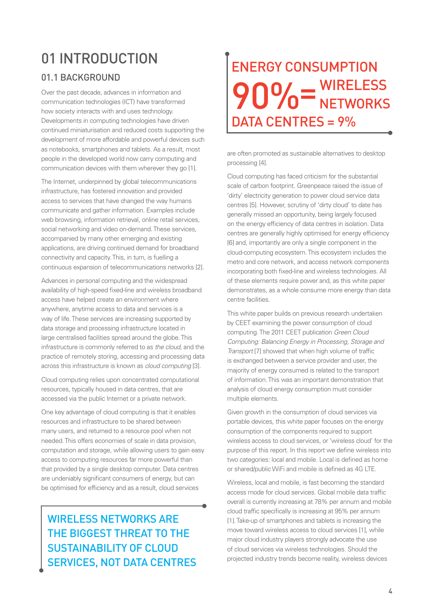## 01 INTRODUCTION

#### 01.1 BACKGROUND

Over the past decade, advances in information and communication technologies (ICT) have transformed how society interacts with and uses technology. Developments in computing technologies have driven continued miniaturisation and reduced costs supporting the development of more affordable and powerful devices such as notebooks, smartphones and tablets. As a result, most people in the developed world now carry computing and communication devices with them wherever they go [1].

The Internet, underpinned by global telecommunications infrastructure, has fostered innovation and provided access to services that have changed the way humans communicate and gather information. Examples include web browsing, information retrieval, online retail services, social networking and video on-demand. These services, accompanied by many other emerging and existing applications, are driving continued demand for broadband connectivity and capacity. This, in turn, is fuelling a continuous expansion of telecommunications networks [2].

Advances in personal computing and the widespread availability of high-speed fixed-line and wireless broadband access have helped create an environment where anywhere, anytime access to data and services is a way of life. These services are increasing supported by data storage and processing infrastructure located in large centralised facilities spread around the globe. This infrastructure is commonly referred to as the cloud, and the practice of remotely storing, accessing and processing data across this infrastructure is known as cloud computing [3].

Cloud computing relies upon concentrated computational resources, typically housed in data centres, that are accessed via the public Internet or a private network.

One key advantage of cloud computing is that it enables resources and infrastructure to be shared between many users, and returned to a resource pool when not needed. This offers economies of scale in data provision, computation and storage, while allowing users to gain easy access to computing resources far more powerful than that provided by a single desktop computer. Data centres are undeniably significant consumers of energy, but can be optimised for efficiency and as a result, cloud services

## WIRELESS NETWORKS ARE THE BIGGEST THREAT TO THE SUSTAINABILITY OF CLOUD SERVICES, NOT DATA CENTRES

## ENERGY CONSUMPTION  $00/$   $-$  WIRELESS 7 U / 0<sup>-</sup>NETWORKS DATA CENTRES = 9% 90% =

are often promoted as sustainable alternatives to desktop processing [4].

Cloud computing has faced criticism for the substantial scale of carbon footprint. Greenpeace raised the issue of 'dirty' electricity generation to power cloud service data centres [5]. However, scrutiny of 'dirty cloud' to date has generally missed an opportunity, being largely focused on the energy efficiency of data centres in isolation. Data centres are generally highly optimised for energy efficiency [6] and, importantly are only a single component in the cloud-computing ecosystem. This ecosystem includes the metro and core network, and access network components incorporating both fixed-line and wireless technologies. All of these elements require power and, as this white paper demonstrates, as a whole consume more energy than data centre facilities.

This white paper builds on previous research undertaken by CEET examining the power consumption of cloud computing. The 2011 CEET publication Green Cloud Computing: Balancing Energy in Processing, Storage and Transport [7] showed that when high volume of traffic is exchanged between a service provider and user, the majority of energy consumed is related to the transport of information. This was an important demonstration that analysis of cloud energy consumption must consider multiple elements.

Given growth in the consumption of cloud services via portable devices, this white paper focuses on the energy consumption of the components required to support wireless access to cloud services, or 'wireless cloud' for the purpose of this report. In this report we define wireless into two categories: local and mobile. Local is defined as home or shared/public WiFi and mobile is defined as 4G LTE.

Wireless, local and mobile, is fast becoming the standard access mode for cloud services. Global mobile data traffic overall is currently increasing at 78% per annum and mobile cloud traffic specifically is increasing at 95% per annum [1]. Take-up of smartphones and tablets is increasing the move toward wireless access to cloud services [1], while major cloud industry players strongly advocate the use of cloud services via wireless technologies. Should the projected industry trends become reality, wireless devices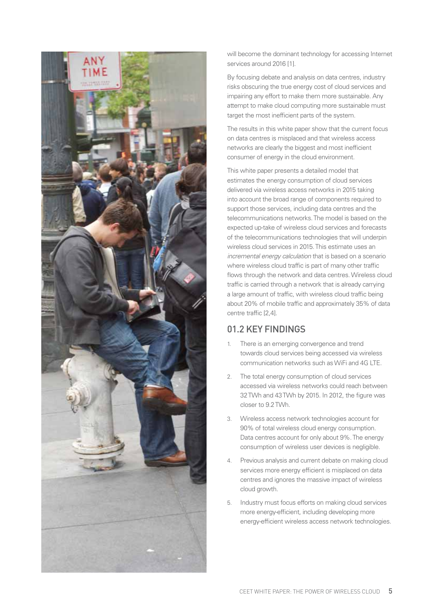

will become the dominant technology for accessing Internet services around 2016 [1].

By focusing debate and analysis on data centres, industry risks obscuring the true energy cost of cloud services and impairing any effort to make them more sustainable. Any attempt to make cloud computing more sustainable must target the most inefficient parts of the system.

The results in this white paper show that the current focus on data centres is misplaced and that wireless access networks are clearly the biggest and most inefficient consumer of energy in the cloud environment.

This white paper presents a detailed model that estimates the energy consumption of cloud services delivered via wireless access networks in 2015 taking into account the broad range of components required to support those services, including data centres and the telecommunications networks. The model is based on the expected up-take of wireless cloud services and forecasts of the telecommunications technologies that will underpin wireless cloud services in 2015. This estimate uses an incremental energy calculation that is based on a scenario where wireless cloud traffic is part of many other traffic flows through the network and data centres. Wireless cloud traffic is carried through a network that is already carrying a large amount of traffic, with wireless cloud traffic being about 20% of mobile traffic and approximately 35% of data centre traffic [2,4].

#### 01.2 KEY FINDINGS

- 1. There is an emerging convergence and trend towards cloud services being accessed via wireless communication networks such as WiFi and 4G LTE.
- 2. The total energy consumption of cloud services accessed via wireless networks could reach between 32 TWh and 43 TWh by 2015. In 2012, the figure was closer to 9.2 TWh.
- 3. Wireless access network technologies account for 90% of total wireless cloud energy consumption. Data centres account for only about 9%. The energy consumption of wireless user devices is negligible.
- 4. Previous analysis and current debate on making cloud services more energy efficient is misplaced on data centres and ignores the massive impact of wireless cloud growth.
- 5. Industry must focus efforts on making cloud services more energy-efficient, including developing more energy-efficient wireless access network technologies.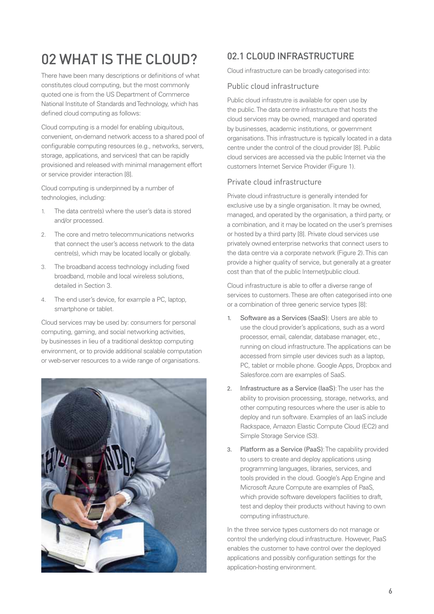## 02 WHAT IS THE CLOUD?

There have been many descriptions or definitions of what constitutes cloud computing, but the most commonly quoted one is from the US Department of Commerce National Institute of Standards and Technology, which has defined cloud computing as follows:

Cloud computing is a model for enabling ubiquitous, convenient, on-demand network access to a shared pool of configurable computing resources (e.g., networks, servers, storage, applications, and services) that can be rapidly provisioned and released with minimal management effort or service provider interaction [8].

Cloud computing is underpinned by a number of technologies, including:

- 1. The data centre(s) where the user's data is stored and/or processed.
- 2. The core and metro telecommunications networks that connect the user's access network to the data centre(s), which may be located locally or globally.
- 3. The broadband access technology including fixed broadband, mobile and local wireless solutions, detailed in Section 3.
- 4. The end user's device, for example a PC, laptop, smartphone or tablet.

Cloud services may be used by: consumers for personal computing, gaming, and social networking activities, by businesses in lieu of a traditional desktop computing environment, or to provide additional scalable computation or web-server resources to a wide range of organisations.



### 02.1 CLOUD INFRASTRUCTURE

Cloud infrastructure can be broadly categorised into:

#### Public cloud infrastructure

Public cloud infrastrutre is available for open use by the public. The data centre infrastructure that hosts the cloud services may be owned, managed and operated by businesses, academic institutions, or government organisations. This infrastructure is typically located in a data centre under the control of the cloud provider [8]. Public cloud services are accessed via the public Internet via the customers Internet Service Provider (Figure 1).

#### Private cloud infrastructure

Private cloud infrastructure is generally intended for exclusive use by a single organisation. It may be owned, managed, and operated by the organisation, a third party, or a combination, and it may be located on the user's premises or hosted by a third party [8]. Private cloud services use privately owned enterprise networks that connect users to the data centre via a corporate network (Figure 2). This can provide a higher quality of service, but generally at a greater cost than that of the public Internet/public cloud.

Cloud infrastructure is able to offer a diverse range of services to customers. These are often categorised into one or a combination of three generic service types [8]:

- 1. Software as a Services (SaaS): Users are able to use the cloud provider's applications, such as a word processor, email, calendar, database manager, etc., running on cloud infrastructure. The applications can be accessed from simple user devices such as a laptop, PC, tablet or mobile phone. Google Apps, Dropbox and Salesforce.com are examples of SaaS.
- 2. Infrastructure as a Service (IaaS): The user has the ability to provision processing, storage, networks, and other computing resources where the user is able to deploy and run software. Examples of an IaaS include Rackspace, Amazon Elastic Compute Cloud (EC2) and Simple Storage Service (S3).
- 3. Platform as a Service (PaaS): The capability provided to users to create and deploy applications using programming languages, libraries, services, and tools provided in the cloud. Google's App Engine and Microsoft Azure Compute are examples of PaaS, which provide software developers facilities to draft, test and deploy their products without having to own computing infrastructure.

In the three service types customers do not manage or control the underlying cloud infrastructure. However, PaaS enables the customer to have control over the deployed applications and possibly configuration settings for the application-hosting environment.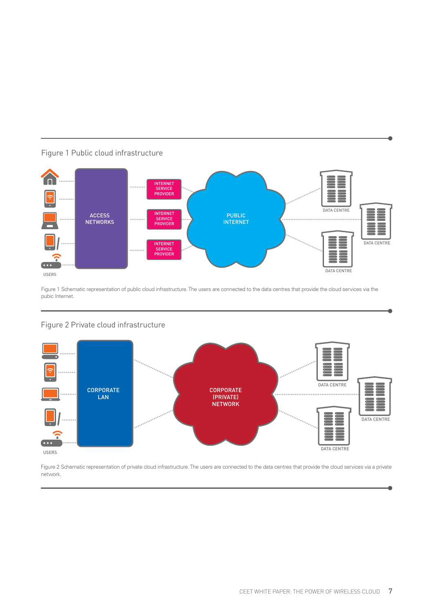

#### Figure 1 Public cloud infrastructure

Figure 1 Schematic representation of public cloud infrastructure. The users are connected to the data centres that provide the cloud services via the pubic Internet.

#### Figure 2 Private cloud infrastructure



Figure 2 Schematic representation of private cloud infrastructure. The users are connected to the data centres that provide the cloud services via a private network.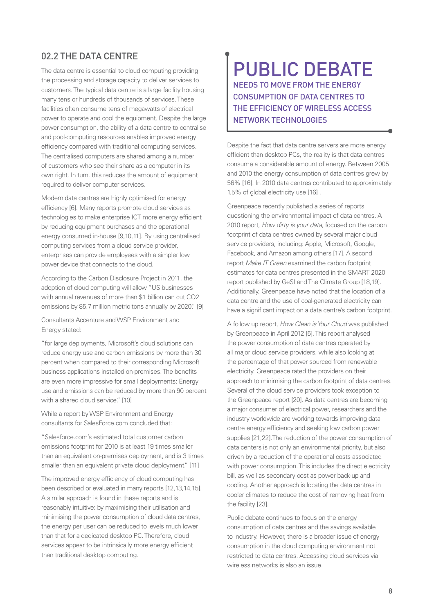#### 02.2 THE DATA CENTRE

The data centre is essential to cloud computing providing the processing and storage capacity to deliver services to customers. The typical data centre is a large facility housing many tens or hundreds of thousands of services. These facilities often consume tens of megawatts of electrical power to operate and cool the equipment. Despite the large power consumption, the ability of a data centre to centralise and pool-computing resources enables improved energy efficiency compared with traditional computing services. The centralised computers are shared among a number of customers who see their share as a computer in its own right. In turn, this reduces the amount of equipment required to deliver computer services.

Modern data centres are highly optimised for energy efficiency [6]. Many reports promote cloud services as technologies to make enterprise ICT more energy efficient by reducing equipment purchases and the operational energy consumed in-house [9,10,11]. By using centralised computing services from a cloud service provider, enterprises can provide employees with a simpler low power device that connects to the cloud.

According to the Carbon Disclosure Project in 2011, the adoption of cloud computing will allow "US businesses with annual revenues of more than \$1 billion can cut CO2 emissions by 85.7 million metric tons annually by 2020." [9]

Consultants Accenture and WSP Environment and Energy stated:

"for large deployments, Microsoft's cloud solutions can reduce energy use and carbon emissions by more than 30 percent when compared to their corresponding Microsoft business applications installed on-premises. The benefits are even more impressive for small deployments: Energy use and emissions can be reduced by more than 90 percent with a shared cloud service." [10]

While a report by WSP Environment and Energy consultants for SalesForce.com concluded that:

"Salesforce.com's estimated total customer carbon emissions footprint for 2010 is at least 19 times smaller than an equivalent on-premises deployment, and is 3 times smaller than an equivalent private cloud deployment." [11]

The improved energy efficiency of cloud computing has been described or evaluated in many reports [12,13,14,15]. A similar approach is found in these reports and is reasonably intuitive: by maximising their utilisation and minimising the power consumption of cloud data centres, the energy per user can be reduced to levels much lower than that for a dedicated desktop PC. Therefore, cloud services appear to be intrinsically more energy efficient than traditional desktop computing.

### PUBLIC DEBATE NEEDS TO MOVE FROM THE ENERGY CONSUMPTION OF DATA CENTRES TO THE EFFICIENCY OF WIRELESS ACCESS NETWORK TECHNOLOGIES

Despite the fact that data centre servers are more energy efficient than desktop PCs, the reality is that data centres consume a considerable amount of energy. Between 2005 and 2010 the energy consumption of data centres grew by 56% [16]. In 2010 data centres contributed to approximately 1.5% of global electricity use [16] .

Greenpeace recently published a series of reports questioning the environmental impact of data centres. A 2010 report, How dirty is your data, focused on the carbon footprint of data centres owned by several major cloud service providers, including: Apple, Microsoft, Google, Facebook, and Amazon among others [17]. A second report Make IT Green examined the carbon footprint estimates for data centres presented in the SMART 2020 report published by GeSI and The Climate Group [18,19]. Additionally, Greenpeace have noted that the location of a data centre and the use of coal-generated electricity can have a significant impact on a data centre's carbon footprint.

A follow up report, How Clean is Your Cloud was published by Greenpeace in April 2012 [5]. This report analysed the power consumption of data centres operated by all major cloud service providers, while also looking at the percentage of that power sourced from renewable electricity. Greenpeace rated the providers on their approach to minimising the carbon footprint of data centres. Several of the cloud service providers took exception to the Greenpeace report [20]. As data centres are becoming a major consumer of electrical power, researchers and the industry worldwide are working towards improving data centre energy efficiency and seeking low carbon power supplies [21,22].The reduction of the power consumption of data centers is not only an environmental priority, but also driven by a reduction of the operational costs associated with power consumption. This includes the direct electricity bill, as well as secondary cost as power back-up and cooling. Another approach is locating the data centres in cooler climates to reduce the cost of removing heat from the facility [23].

Public debate continues to focus on the energy consumption of data centres and the savings available to industry. However, there is a broader issue of energy consumption in the cloud computing environment not restricted to data centres. Accessing cloud services via wireless networks is also an issue.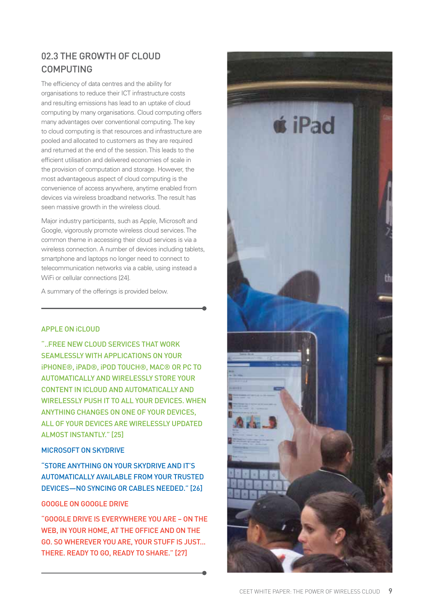### 02.3 THE GROWTH OF CLOUD COMPUTING

The efficiency of data centres and the ability for organisations to reduce their ICT infrastructure costs and resulting emissions has lead to an uptake of cloud computing by many organisations. Cloud computing offers many advantages over conventional computing. The key to cloud computing is that resources and infrastructure are pooled and allocated to customers as they are required and returned at the end of the session. This leads to the efficient utilisation and delivered economies of scale in the provision of computation and storage. However, the most advantageous aspect of cloud computing is the convenience of access anywhere, anytime enabled from devices via wireless broadband networks. The result has seen massive growth in the wireless cloud.

Major industry participants, such as Apple, Microsoft and Google, vigorously promote wireless cloud services. The common theme in accessing their cloud services is via a wireless connection. A number of devices including tablets, smartphone and laptops no longer need to connect to telecommunication networks via a cable, using instead a WiFi or cellular connections [24].

A summary of the offerings is provided below.

#### APPLE ON iCLOUD

"..FREE NEW CLOUD SERVICES THAT WORK SEAMLESSLY WITH APPLICATIONS ON YOUR iPHONE®, iPAD®, iPOD TOUCH®, MAC® OR PC TO AUTOMATICALLY AND WIRELESSLY STORE YOUR CONTENT IN ICLOUD AND AUTOMATICALLY AND WIRELESSLY PUSH IT TO ALL YOUR DEVICES. WHEN ANYTHING CHANGES ON ONE OF YOUR DEVICES, ALL OF YOUR DEVICES ARE WIRELESSLY UPDATED ALMOST INSTANTLY." [25]

#### MICROSOFT ON SKYDRIVE

"STORE ANYTHING ON YOUR SKYDRIVE AND IT'S AUTOMATICALLY AVAILABLE FROM YOUR TRUSTED DEVICES—NO SYNCING OR CABLES NEEDED." [26]

#### GOOGLE ON GOOGLE DRIVE

"GOOGLE DRIVE IS EVERYWHERE YOU ARE – ON THE WEB, IN YOUR HOME, AT THE OFFICE AND ON THE GO. SO WHEREVER YOU ARE, YOUR STUFF IS JUST... THERE. READY TO GO, READY TO SHARE." [27]

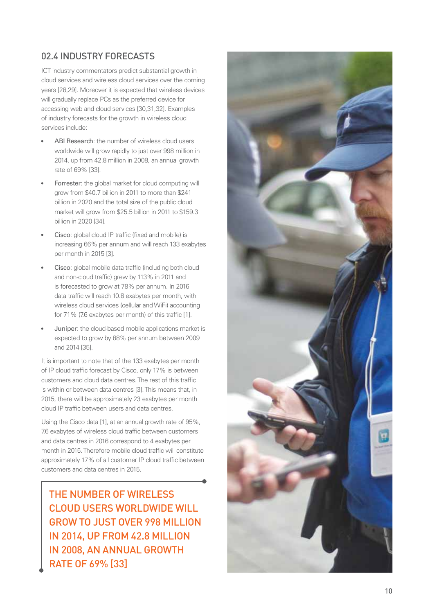### 02.4 INDUSTRY FORECASTS

ICT industry commentators predict substantial growth in cloud services and wireless cloud services over the coming years [28,29]. Moreover it is expected that wireless devices will gradually replace PCs as the preferred device for accessing web and cloud services [30,31,32]. Examples of industry forecasts for the growth in wireless cloud services include:

- ABI Research: the number of wireless cloud users worldwide will grow rapidly to just over 998 million in 2014, up from 42.8 million in 2008, an annual growth rate of 69% [33].
- Forrester: the global market for cloud computing will grow from \$40.7 billion in 2011 to more than \$241 billion in 2020 and the total size of the public cloud market will grow from \$25.5 billion in 2011 to \$159.3 billion in 2020 [34].
- Cisco: global cloud IP traffic (fixed and mobile) is increasing 66% per annum and will reach 133 exabytes per month in 2015 [3].
- Cisco: global mobile data traffic (including both cloud and non-cloud traffic) grew by 113% in 2011 and is forecasted to grow at 78% per annum. In 2016 data traffic will reach 10.8 exabytes per month, with wireless cloud services (cellular and WiFi) accounting for 71% (7.6 exabytes per month) of this traffic [1].
- Juniper: the cloud-based mobile applications market is expected to grow by 88% per annum between 2009 and 2014 [35].

It is important to note that of the 133 exabytes per month of IP cloud traffic forecast by Cisco, only 17% is between customers and cloud data centres. The rest of this traffic is within or between data centres [3]. This means that, in 2015, there will be approximately 23 exabytes per month cloud IP traffic between users and data centres.

Using the Cisco data [1], at an annual growth rate of 95%, 7.6 exabytes of wireless cloud traffic between customers and data centres in 2016 correspond to 4 exabytes per month in 2015. Therefore mobile cloud traffic will constitute approximately 17% of all customer IP cloud traffic between customers and data centres in 2015.

THE NUMBER OF WIRELESS CLOUD USERS WORLDWIDE WILL GROW TO JUST OVER 998 MILLION IN 2014, UP FROM 42.8 MILLION IN 2008, AN ANNUAL GROWTH RATE OF 69% [33]

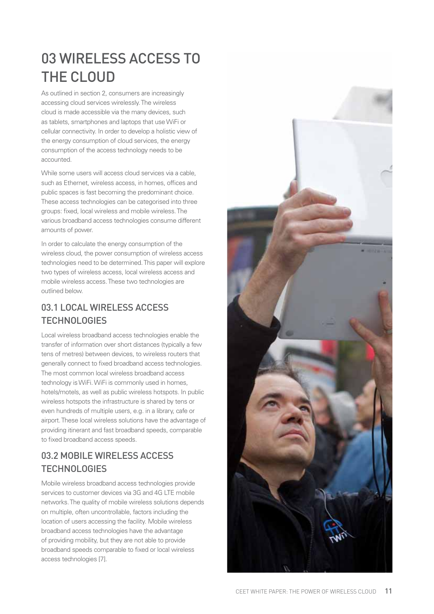## 03 WIRELESS ACCESS TO THE CLOUD

As outlined in section 2, consumers are increasingly accessing cloud services wirelessly. The wireless cloud is made accessible via the many devices, such as tablets, smartphones and laptops that use WiFi or cellular connectivity. In order to develop a holistic view of the energy consumption of cloud services, the energy consumption of the access technology needs to be accounted.

While some users will access cloud services via a cable. such as Ethernet, wireless access, in homes, offices and public spaces is fast becoming the predominant choice. These access technologies can be categorised into three groups: fixed, local wireless and mobile wireless. The various broadband access technologies consume different amounts of power.

In order to calculate the energy consumption of the wireless cloud, the power consumption of wireless access technologies need to be determined. This paper will explore two types of wireless access, local wireless access and mobile wireless access. These two technologies are outlined below.

### 03.1 LOCAL WIRELESS ACCESS **TECHNOLOGIES**

Local wireless broadband access technologies enable the transfer of information over short distances (typically a few tens of metres) between devices, to wireless routers that generally connect to fixed broadband access technologies. The most common local wireless broadband access technology is WiFi. WiFi is commonly used in homes, hotels/motels, as well as public wireless hotspots. In public wireless hotspots the infrastructure is shared by tens or even hundreds of multiple users, e.g. in a library, cafe or airport. These local wireless solutions have the advantage of providing itinerant and fast broadband speeds, comparable to fixed broadband access speeds.

### 03.2 MOBILE WIRELESS ACCESS **TECHNOLOGIES**

Mobile wireless broadband access technologies provide services to customer devices via 3G and 4G LTE mobile networks. The quality of mobile wireless solutions depends on multiple, often uncontrollable, factors including the location of users accessing the facility. Mobile wireless broadband access technologies have the advantage of providing mobility, but they are not able to provide broadband speeds comparable to fixed or local wireless access technologies [7].

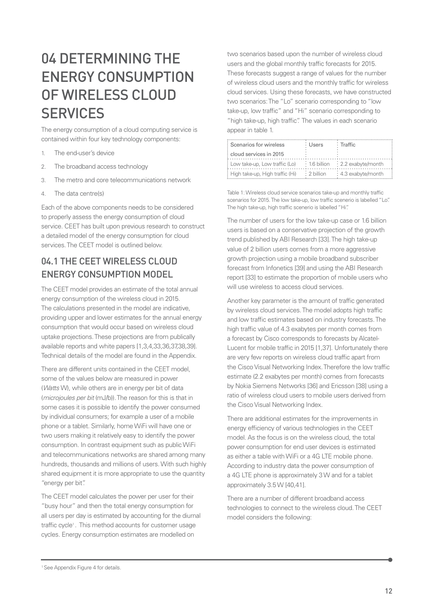## 04 DETERMINING THE ENERGY CONSUMPTION OF WIRFLESS CLOUD **SERVICES**

The energy consumption of a cloud computing service is contained within four key technology components:

- 1. The end-user's device
- 2. The broadband access technology
- 3. The metro and core telecommunications network
- 4. The data centre(s)

Each of the above components needs to be considered to properly assess the energy consumption of cloud service. CEET has built upon previous research to construct a detailed model of the energy consumption for cloud services. The CEET model is outlined below.

### 04.1 THE CEET WIRELESS CLOUD ENERGY CONSUMPTION MODEL

The CEET model provides an estimate of the total annual energy consumption of the wireless cloud in 2015. The calculations presented in the model are indicative, providing upper and lower estimates for the annual energy consumption that would occur based on wireless cloud uptake projections. These projections are from publically available reports and white papers [1,3,4,33,36,37,38,39]. Technical details of the model are found in the Appendix.

There are different units contained in the CEET model, some of the values below are measured in power (Watts W), while others are in energy per bit of data (microjoules per bit (mJ/b)). The reason for this is that in some cases it is possible to identify the power consumed by individual consumers; for example a user of a mobile phone or a tablet. Similarly, home WiFi will have one or two users making it relatively easy to identify the power consumption. In contrast equipment such as public WiFi and telecommunications networks are shared among many hundreds, thousands and millions of users. With such highly shared equipment it is more appropriate to use the quantity "energy per bit".

The CEET model calculates the power per user for their "busy hour" and then the total energy consumption for all users per day is estimated by accounting for the diurnal traffic cycle<sup>1</sup>. This method accounts for customer usage cycles. Energy consumption estimates are modelled on

two scenarios based upon the number of wireless cloud users and the global monthly traffic forecasts for 2015. These forecasts suggest a range of values for the number of wireless cloud users and the monthly traffic for wireless cloud services. Using these forecasts, we have constructed two scenarios: The "Lo" scenario corresponding to "low take-up, low traffic" and "Hi" scenario corresponding to "high take-up, high traffic". The values in each scenario appear in table 1.

| Scenarios for wireless            | : Users       | <b>∶Traffic</b>                               |
|-----------------------------------|---------------|-----------------------------------------------|
| : cloud services in 2015          |               |                                               |
| : Low take-up, Low traffic (Lo)   |               | $\cdot$ 1.6 billion $\cdot$ 2.2 exabyte/month |
| : High take-up, High traffic (Hi) | $: 2$ billion | : 4.3 exabyte/month                           |

Table 1: Wireless cloud service scenarios take-up and monthly traffic scenarios for 2015. The low take-up, low traffic scenerio is labelled "Lo". The high take-up, high traffic scenerio is labelled "Hi".

The number of users for the low take-up case or 1.6 billion users is based on a conservative projection of the growth trend published by ABI Research [33]. The high take-up value of 2 billion users comes from a more aggressive growth projection using a mobile broadband subscriber forecast from Infonetics [39] and using the ABI Research report [33] to estimate the proportion of mobile users who will use wireless to access cloud services.

Another key parameter is the amount of traffic generated by wireless cloud services. The model adopts high traffic and low traffic estimates based on industry forecasts. The high traffic value of 4.3 exabytes per month comes from a forecast by Cisco corresponds to forecasts by Alcatel-Lucent for mobile traffic in 2015 [1.37]. Unfortunately there are very few reports on wireless cloud traffic apart from the Cisco Visual Networking Index. Therefore the low traffic estimate (2.2 exabytes per month) comes from forecasts by Nokia Siemens Networks [36] and Ericsson [38] using a ratio of wireless cloud users to mobile users derived from the Cisco Visual Networking Index.

There are additional estimates for the improvements in energy efficiency of various technologies in the CEET model. As the focus is on the wireless cloud, the total power consumption for end user devices is estimated as either a table with WiFi or a 4G LTE mobile phone. According to industry data the power consumption of a 4G LTE phone is approximately 3 W and for a tablet approximately 3.5 W [40,41].

There are a number of different broadband access technologies to connect to the wireless cloud. The CEET model considers the following:

<sup>&</sup>lt;sup>1</sup> See Appendix Figure 4 for details.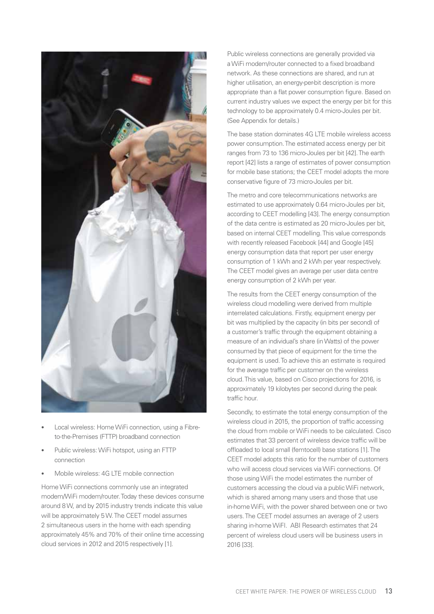

- Local wireless: Home WiFi connection, using a Fibreto-the-Premises (FTTP) broadband connection
- Public wireless: WiFi hotspot, using an FTTP connection
- Mobile wireless: 4G LTE mobile connection

Home WiFi connections commonly use an integrated modem/WiFi modem/router. Today these devices consume around 8 W, and by 2015 industry trends indicate this value will be approximately 5 W. The CEET model assumes 2 simultaneous users in the home with each spending approximately 45% and 70% of their online time accessing cloud services in 2012 and 2015 respectively [1].

Public wireless connections are generally provided via a WiFi modem/router connected to a fixed broadband network. As these connections are shared, and run at higher utilisation, an energy-per-bit description is more appropriate than a flat power consumption figure. Based on current industry values we expect the energy per bit for this technology to be approximately 0.4 micro-Joules per bit. (See Appendix for details.)

The base station dominates 4G LTE mobile wireless access power consumption. The estimated access energy per bit ranges from 73 to 136 micro-Joules per bit [42]. The earth report [42] lists a range of estimates of power consumption for mobile base stations; the CEET model adopts the more conservative figure of 73 micro-Joules per bit.

The metro and core telecommunications networks are estimated to use approximately 0.64 micro-Joules per bit, according to CEET modelling [43]. The energy consumption of the data centre is estimated as 20 micro-Joules per bit, based on internal CEET modelling. This value corresponds with recently released Facebook [44] and Google [45] energy consumption data that report per user energy consumption of 1 kWh and 2 kWh per year respectively. The CEET model gives an average per user data centre energy consumption of 2 kWh per year.

The results from the CEET energy consumption of the wireless cloud modelling were derived from multiple interrelated calculations. Firstly, equipment energy per bit was multiplied by the capacity (in bits per second) of a customer's traffic through the equipment obtaining a measure of an individual's share (in Watts) of the power consumed by that piece of equipment for the time the equipment is used. To achieve this an estimate is required for the average traffic per customer on the wireless cloud. This value, based on Cisco projections for 2016, is approximately 19 kilobytes per second during the peak traffic hour.

Secondly, to estimate the total energy consumption of the wireless cloud in 2015, the proportion of traffic accessing the cloud from mobile or WiFi needs to be calculated. Cisco estimates that 33 percent of wireless device traffic will be offloaded to local small (femtocell) base stations [1]. The CEET model adopts this ratio for the number of customers who will access cloud services via WiFi connections. Of those using WiFi the model estimates the number of customers accessing the cloud via a public WiFi network, which is shared among many users and those that use in-home WiFi, with the power shared between one or two users. The CEET model assumes an average of 2 users sharing in-home WiFI. ABI Research estimates that 24 percent of wireless cloud users will be business users in 2016 [33].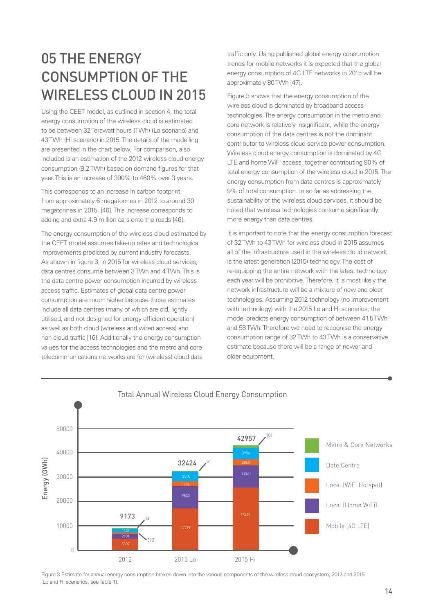## 05 THE ENERGY CONSUMPTION OF THE WIRELESS CLOUD IN 2015

Using the CEET model, as outlined in section 4, the total energy consumption of the wireless cloud is estimated to be between 32 Terawatt hours (TWh) (Lo scenario) and 43 TWh (Hi scenario) in 2015. The details of the modelling are presented in the chart below. For comparison, also included is an estimation of the 2012 wireless cloud energy consumption (9.2 TWh) based on demand figures for that year. This is an increase of 390% to 460% over 3 years.

This corresponds to an increase in carbon footprint from approximately 6 megatonnes in 2012 to around 30 megatonnes in 2015. [46]. This increase corresponds to adding and extra 4.9 million cars onto the roads [46].

The energy consumption of the wireless cloud estimated by the CEET model assumes take-up rates and technological improvements predicted by current industry forecasts. As shown in figure 3, in 2015 for wireless cloud services. data centres consume between 3 TWh and 4 TWh. This is the data centre power consumption incurred by wireless access traffic. Estimates of global data centre power consumption are much higher because those estimates include all data centres (many of which are old, lightly utilised, and not designed for energy efficient operation) as well as both cloud (wireless and wired access) and non-cloud traffic [16]. Additionally the energy consumption values for the access technologies and the metro and core telecommunications networks are for (wireless) cloud data

traffic only. Using published global energy consumption trends for mobile networks it is expected that the global energy consumption of 4G LTE networks in 2015 will be approximately 80 TWh [47].

Figure 3 shows that the energy consumption of the wireless cloud is dominated by broadband access technologies. The energy consumption in the metro and core network is relatively insignificant, while the energy consumption of the data centres is not the dominant contributor to wireless cloud service power consumption. Wireless cloud energy consumption is dominated by 4G LTE and home WiFi access, together contributing 90% of total energy consumption of the wireless cloud in 2015. The energy consumption from data centres is approximately 9% of total consumption. In so far as addressing the sustainability of the wireless cloud services, it should be noted that wireless technologies consume significantly more energy than data centres.

It is important to note that the energy consumption forecast of 32 TWh to 43 TWh for wireless cloud in 2015 assumes all of the infrastructure used in the wireless cloud network is the latest generation (2015) technology. The cost of re-equipping the entire network with the latest technology each year will be prohibitive. Therefore, it is most likely the network infrastructure will be a mixture of new and older technologies. Assuming 2012 technology (no improvement with technology) with the 2015 Lo and Hi scenarios, the model predicts energy consumption of between 41.5 TWh and 58 TWh. Therefore we need to recognise the energy consumption range of 32 TWh to 43 TWh is a conservative estimate because there will be a range of newer and older equipment.



#### Total Annual Wireless Cloud Energy Consumption

Figure 3 Estimate for annual energy consumption broken down into the various components of the wireless cloud ecosystem, 2012 and 2015 (Lo and Hi scenarios, see Table 1).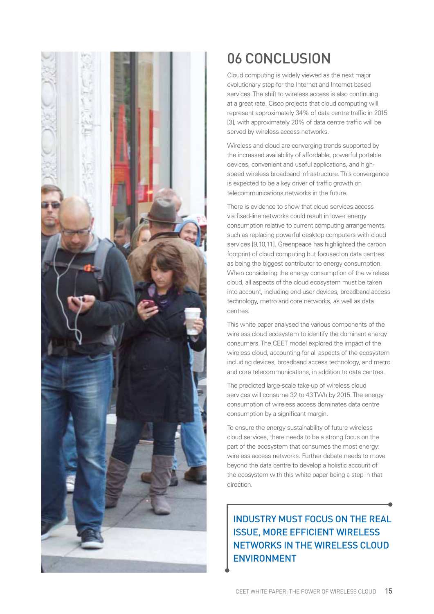

## 06 CONCLUSION

Cloud computing is widely viewed as the next major evolutionary step for the Internet and Internet-based services. The shift to wireless access is also continuing at a great rate. Cisco projects that cloud computing will represent approximately 34% of data centre traffic in 2015 [3], with approximately 20% of data centre traffic will be served by wireless access networks.

Wireless and cloud are converging trends supported by the increased availability of affordable, powerful portable devices, convenient and useful applications, and highspeed wireless broadband infrastructure. This convergence is expected to be a key driver of traffic growth on telecommunications networks in the future.

There is evidence to show that cloud services access via fi xed-line networks could result in lower energy consumption relative to current computing arrangements, such as replacing powerful desktop computers with cloud services [9,10,11]. Greenpeace has highlighted the carbon footprint of cloud computing but focused on data centres as being the biggest contributor to energy consumption. When considering the energy consumption of the wireless cloud, all aspects of the cloud ecosystem must be taken into account, including end-user devices, broadband access technology, metro and core networks, as well as data centres.

This white paper analysed the various components of the wireless cloud ecosystem to identify the dominant energy consumers. The CEET model explored the impact of the wireless cloud, accounting for all aspects of the ecosystem including devices, broadband access technology, and metro and core telecommunications, in addition to data centres.

The predicted large-scale take-up of wireless cloud services will consume 32 to 43 TWh by 2015. The energy consumption of wireless access dominates data centre consumption by a significant margin.

To ensure the energy sustainability of future wireless cloud services, there needs to be a strong focus on the part of the ecosystem that consumes the most energy: wireless access networks. Further debate needs to move beyond the data centre to develop a holistic account of the ecosystem with this white paper being a step in that direction.

### INDUSTRY MUST FOCUS ON THE REAL ISSUE, MORE EFFICIENT WIRELESS NETWORKS IN THE WIRELESS CLOUD ENVIRONMENT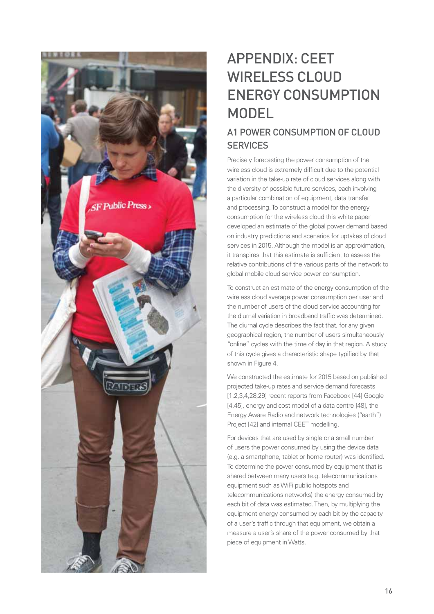

## APPENDIX: CEET WIRELESS CLOUD ENERGY CONSUMPTION MODEL

### A1 POWER CONSUMPTION OF CLOUD **SERVICES**

Precisely forecasting the power consumption of the wireless cloud is extremely difficult due to the potential variation in the take-up rate of cloud services along with the diversity of possible future services, each involving a particular combination of equipment, data transfer and processing. To construct a model for the energy consumption for the wireless cloud this white paper developed an estimate of the global power demand based on industry predictions and scenarios for uptakes of cloud services in 2015. Although the model is an approximation, it transpires that this estimate is sufficient to assess the relative contributions of the various parts of the network to global mobile cloud service power consumption.

To construct an estimate of the energy consumption of the wireless cloud average power consumption per user and the number of users of the cloud service accounting for the diurnal variation in broadband traffic was determined. The diurnal cycle describes the fact that, for any given geographical region, the number of users simultaneously "online" cycles with the time of day in that region. A study of this cycle gives a characteristic shape typified by that shown in Figure 4.

We constructed the estimate for 2015 based on published projected take-up rates and service demand forecasts [1,2,3,4,28,29] recent reports from Facebook [44] Google [4,45], energy and cost model of a data centre [48], the Energy Aware Radio and network technologies ("earth") Project [42] and internal CEET modelling.

For devices that are used by single or a small number of users the power consumed by using the device data (e.g. a smartphone, tablet or home router) was identified. To determine the power consumed by equipment that is shared between many users (e.g. telecommunications equipment such as WiFi public hotspots and telecommunications networks) the energy consumed by each bit of data was estimated. Then, by multiplying the equipment energy consumed by each bit by the capacity of a user's traffic through that equipment, we obtain a measure a user's share of the power consumed by that piece of equipment in Watts.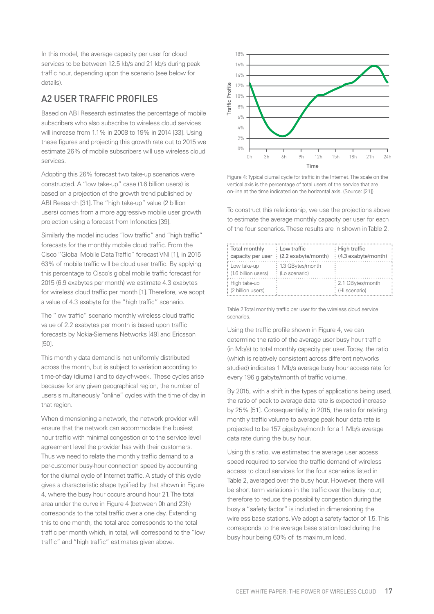In this model, the average capacity per user for cloud services to be between 12.5 kb/s and 21 kb/s during peak traffic hour, depending upon the scenario (see below for details).

#### A2 USER TRAFFIC PROFILES

Based on ABI Research estimates the percentage of mobile subscribers who also subscribe to wireless cloud services will increase from 1.1% in 2008 to 19% in 2014 [33]. Using these figures and projecting this growth rate out to 2015 we estimate 26% of mobile subscribers will use wireless cloud services.

Adopting this 26% forecast two take-up scenarios were constructed. A "low take-up" case (1.6 billion users) is based on a projection of the growth trend published by ABI Research [31]. The "high take-up" value (2 billion users) comes from a more aggressive mobile user growth projection using a forecast from Infonetics [39].

Similarly the model includes "low traffic" and "high traffic" forecasts for the monthly mobile cloud traffic. From the Cisco "Global Mobile Data Traffic" forecast VNI [1], in 2015 63% of mobile traffic will be cloud user traffic. By applying this percentage to Cisco's global mobile traffic forecast for 2015 (6.9 exabytes per month) we estimate 4.3 exabytes for wireless cloud traffic per month [1]. Therefore, we adopt a value of 4.3 exabyte for the "high traffic" scenario.

The "low traffic" scenario monthly wireless cloud traffic value of 2.2 exabytes per month is based upon traffic forecasts by Nokia-Siemens Networks [49] and Ericsson [50].

This monthly data demand is not uniformly distributed across the month, but is subject to variation according to time-of-day (diurnal) and to day-of-week. These cycles arise because for any given geographical region, the number of users simultaneously "online" cycles with the time of day in that region.

When dimensioning a network, the network provider will ensure that the network can accommodate the busiest hour traffic with minimal congestion or to the service level agreement level the provider has with their customers. Thus we need to relate the monthly traffic demand to a per-customer busy-hour connection speed by accounting for the diurnal cycle of Internet traffic. A study of this cycle gives a characteristic shape typified by that shown in Figure 4, where the busy hour occurs around hour 21. The total area under the curve in Figure 4 (between 0h and 23h) corresponds to the total traffic over a one day. Extending this to one month, the total area corresponds to the total traffic per month which, in total, will correspond to the "low traffic" and "high traffic" estimates given above.



Figure 4: Typical diurnal cycle for traffic in the Internet. The scale on the vertical axis is the percentage of total users of the service that are on-line at the time indicated on the horizontal axis. (Source: [21])

To construct this relationship, we use the projections above to estimate the average monthly capacity per user for each of the four scenarios. These results are in shown in Table 2.

| : Total monthly                   | $\cdot$ Low traffic                               | $\frac{1}{2}$ High traffic        |
|-----------------------------------|---------------------------------------------------|-----------------------------------|
|                                   | $:$ capacity per user $\cdot$ (2.2 exabyte/month) | $\frac{1}{2}$ (4.3 exabyte/month) |
| : Low take-up                     | : 1.3 GBytes/month                                |                                   |
| $\frac{1}{2}$ (1.6 billion users) | $\frac{1}{2}$ (Lo scenario)                       |                                   |
| : High take-up                    |                                                   | : 2.1 GBytes/month                |
| $\frac{1}{2}$ (2 billion users)   |                                                   | : (Hi scenario)                   |

Table 2 Total monthly traffic per user for the wireless cloud service scenarios.

Using the traffic profile shown in Figure 4, we can determine the ratio of the average user busy hour traffic (in Mb/s) to total monthly capacity per user. Today, the ratio (which is relatively consistent across different networks studied) indicates 1 Mb/s average busy hour access rate for every 196 gigabyte/month of traffic volume.

By 2015, with a shift in the types of applications being used, the ratio of peak to average data rate is expected increase by 25% [51]. Consequentially, in 2015, the ratio for relating monthly traffic volume to average peak hour data rate is projected to be 157 gigabyte/month for a 1 Mb/s average data rate during the busy hour.

Using this ratio, we estimated the average user access speed required to service the traffic demand of wireless access to cloud services for the four scenarios listed in Table 2, averaged over the busy hour. However, there will be short term variations in the traffic over the busy hour; therefore to reduce the possibility congestion during the busy a "safety factor" is included in dimensioning the wireless base stations. We adopt a safety factor of 1.5. This corresponds to the average base station load during the Business and the two sets of the busy hour being for the theoretical axis is the personal over the busy of the form of the solid sets in personal over the solid solid solid and the original contract this relationship, we u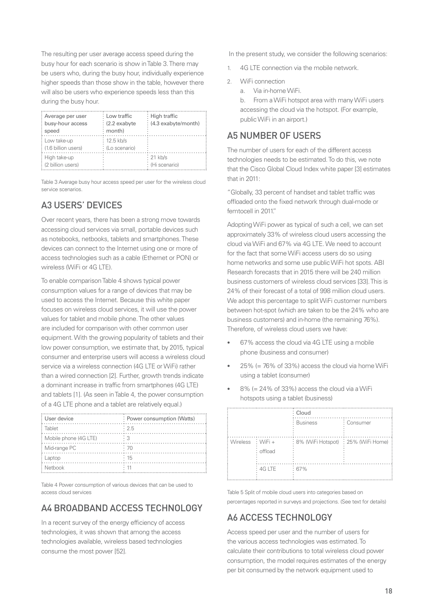The resulting per user average access speed during the busy hour for each scenario is show in Table 3. There may be users who, during the busy hour, individually experience higher speeds than those show in the table, however there will also be users who experience speeds less than this during the busy hour.

| Average per user<br>busy-hour access<br>speed     | : Low traffic<br>$(2.2 \text{ exabyte})$<br>$:$ month) | : High traffic<br>: (4.3 exabyte/month) |
|---------------------------------------------------|--------------------------------------------------------|-----------------------------------------|
| Low take-up<br>$\frac{1}{2}$ (1.6 billion users)  | : 12.5 kb/s<br>: (Lo scenario)                         |                                         |
| : High take-up<br>$\frac{1}{2}$ (2 billion users) |                                                        | : 21 kb/s<br>: (Hi scenario)            |

Table 3 Average busy hour access speed per user for the wireless cloud service scenarios.

#### A3 USERS' DEVICES

Over recent years, there has been a strong move towards accessing cloud services via small, portable devices such as notebooks, netbooks, tablets and smartphones. These devices can connect to the Internet using one or more of access technologies such as a cable (Ethernet or PON) or wireless (WiFi or 4G LTE).

To enable comparison Table 4 shows typical power consumption values for a range of devices that may be used to access the Internet. Because this white paper focuses on wireless cloud services, it will use the power values for tablet and mobile phone. The other values are included for comparison with other common user equipment. With the growing popularity of tablets and their low power consumption, we estimate that, by 2015, typical consumer and enterprise users will access a wireless cloud service via a wireless connection (4G LTE or WiFi) rather than a wired connection [2]. Further, growth trends indicate a dominant increase in traffic from smartphones (4G LTE) and tablets [1]. (As seen in Table 4, the power consumption of a 4G LTE phone and a tablet are relatively equal.)

| User device             | : Power consumption (Watts) |
|-------------------------|-----------------------------|
| Tablet                  | $\cdot$ 2.5                 |
| : Mobile phone (4G LTE) |                             |
| : Mid-range PC          | .70                         |
| Laptop                  | $\cdot$ 15                  |
| Netbook                 |                             |

Table 4 Power consumption of various devices that can be used to access cloud services

### A4 BROADBAND ACCESS TECHNOLOGY

In a recent survey of the energy efficiency of access technologies, it was shown that among the access technologies available, wireless based technologies consume the most power [52].

In the present study, we consider the following scenarios:

- 1. 4G LTE connection via the mobile network.
- 2. WiFi connection
	- a. Via in-home WiFi.
	- b. From a WiFi hotspot area with many WiFi users accessing the cloud via the hotspot. (For example, public WiFi in an airport.)

#### A5 NUMBER OF USERS

The number of users for each of the different access technologies needs to be estimated. To do this, we note that the Cisco Global Cloud Index white paper [3] estimates that in 2011:

"Globally, 33 percent of handset and tablet traffic was offloaded onto the fixed network through dual-mode or femtocell in 2011."

Adopting WiFi power as typical of such a cell, we can set approximately 33% of wireless cloud users accessing the cloud via WiFi and 67% via 4G LTE. We need to account for the fact that some WiFi access users do so using home networks and some use public WiFi hot spots. ABI Research forecasts that in 2015 there will be 240 million business customers of wireless cloud services [33]. This is 24% of their forecast of a total of 998 million cloud users. We adopt this percentage to split WiFi customer numbers between hot-spot (which are taken to be the 24% who are business customers) and in-home (the remaining 76%). Therefore, of wireless cloud users we have:

- 67% access the cloud via 4G LTE using a mobile phone (business and consumer)
- $25\%$  (= 76% of 33%) access the cloud via home WiFi using a tablet (consumer)
- $8\%$  (= 24% of 33%) access the cloud via a WiFi hotspots using a tablet (business)

|                   |         | Cloud                                 |            |
|-------------------|---------|---------------------------------------|------------|
|                   |         | <b>Business</b>                       | : Consumer |
| Wireless : WiFi + | offload | : 8% (WiFi Hotspot) : 25% (WiFi Home) |            |
|                   | 4G LTE  | :67%                                  |            |

Table 5 Split of mobile cloud users into categories based on percentages reported in surveys and projections. (See text for details)

### A6 ACCESS TECHNOLOGY

Access speed per user and the number of users for the various access technologies was estimated. To calculate their contributions to total wireless cloud power consumption, the model requires estimates of the energy per bit consumed by the network equipment used to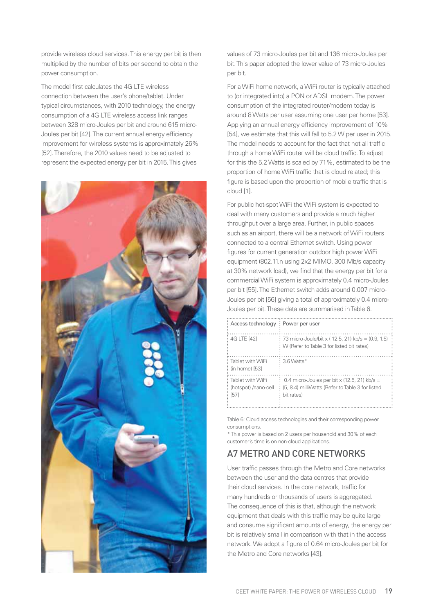provide wireless cloud services. This energy per bit is then multiplied by the number of bits per second to obtain the power consumption.

The model first calculates the 4G LTE wireless connection between the user's phone/tablet. Under typical circumstances, with 2010 technology, the energy consumption of a 4G LTE wireless access link ranges between 328 micro-Joules per bit and around 615 micro-Joules per bit [42]. The current annual energy efficiency improvement for wireless systems is approximately 26% [52]. Therefore, the 2010 values need to be adjusted to represent the expected energy per bit in 2015. This gives



values of 73 micro-Joules per bit and 136 micro-Joules per bit. This paper adopted the lower value of 73 micro-Joules per bit.

For a WiFi home network, a WiFi router is typically attached to (or integrated into) a PON or ADSL modem. The power consumption of the integrated router/modem today is around 8 Watts per user assuming one user per home [53]. Applying an annual energy efficiency improvement of 10% [54], we estimate that this will fall to 5.2 W per user in 2015. The model needs to account for the fact that not all traffic through a home WiFi router will be cloud traffic. To adjust for this the 5.2 Watts is scaled by 71%, estimated to be the proportion of home WiFi traffic that is cloud related; this figure is based upon the proportion of mobile traffic that is cloud [1].

For public hot-spot WiFi the WiFi system is expected to deal with many customers and provide a much higher throughput over a large area. Further, in public spaces such as an airport, there will be a network of WiFi routers connected to a central Ethernet switch. Using power figures for current generation outdoor high power WiFi equipment (802.11.n using 2x2 MIMO, 300 Mb/s capacity at 30% network load), we find that the energy per bit for a commercial WiFi system is approximately 0.4 micro-Joules per bit [55]. The Ethernet switch adds around 0.007 micro-Joules per bit [56] giving a total of approximately 0.4 micro-Joules per bit. These data are summarised in Table 6.

| Access technology: Power per user                |                                                                                                                |
|--------------------------------------------------|----------------------------------------------------------------------------------------------------------------|
| 4G LTE [42]                                      | : 73 micro-Joule/bit x (12.5, 21) kb/s = (0.9, 1.5)<br>W (Refer to Table 3 for listed bit rates)               |
| : Tablet with WiFi<br>(in home) [53]             | 3.6 Watts*                                                                                                     |
| Tablet with WiFi<br>(hotspot) /nano-cell<br>[57] | 0.4 micro-Joules per bit x (12.5, 21) kb/s =<br>(5, 8.4) milliWatts (Refer to Table 3 for listed<br>bit rates) |

Table 6: Cloud access technologies and their corresponding power consumptions.

\* This power is based on 2 users per household and 30% of each customer's time is on non-cloud applications.

### A7 METRO AND CORE NETWORKS

User traffic passes through the Metro and Core networks between the user and the data centres that provide their cloud services. In the core network, traffic for many hundreds or thousands of users is aggregated. The consequence of this is that, although the network equipment that deals with this traffic may be quite large and consume significant amounts of energy, the energy per bit is relatively small in comparison with that in the access network. We adopt a figure of 0.64 micro-Joules per bit for the Metro and Core networks [43].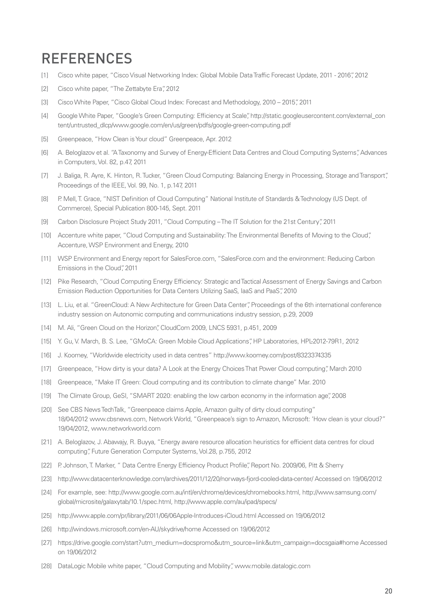## REFERENCES

- [1] Cisco white paper, "Cisco Visual Networking Index: Global Mobile Data Traffic Forecast Update, 2011 2016", 2012
- [2] Cisco white paper, "The Zettabyte Era", 2012
- [3] Cisco White Paper, "Cisco Global Cloud Index: Forecast and Methodology, 2010 2015", 2011
- [4] Google White Paper, "Google's Green Computing: Efficiency at Scale", http://static.googleusercontent.com/external\_con tent/untrusted\_dlcp/www.google.com/en/us/green/pdfs/google-green-computing.pdf
- [5] Greenpeace, "How Clean is Your cloud" Greenpeace, Apr. 2012
- [6] A. Beloglazov et al. "A Taxonomy and Survey of Energy-Efficient Data Centres and Cloud Computing Systems", Advances in Computers, Vol. 82, p.47, 2011
- [7] J. Baliga, R. Ayre, K. Hinton, R. Tucker, "Green Cloud Computing: Balancing Energy in Processing, Storage and Transport", Proceedings of the IEEE, Vol. 99, No. 1, p.147, 2011
- [8] P. Mell, T. Grace, "NIST Definition of Cloud Computing" National Institute of Standards & Technology (US Dept. of Commerce), Special Publication 800-145, Sept. 2011
- [9] Carbon Disclosure Project Study 2011, "Cloud Computing The IT Solution for the 21st Century", 2011
- [10] Accenture white paper, "Cloud Computing and Sustainability: The Environmental Benefits of Moving to the Cloud", Accenture, WSP Environment and Energy, 2010
- [11] WSP Environment and Energy report for SalesForce.com, "SalesForce.com and the environment: Reducing Carbon Emissions in the Cloud", 2011
- [12] Pike Research, "Cloud Computing Energy Efficiency: Strategic and Tactical Assessment of Energy Savings and Carbon Emission Reduction Opportunities for Data Centers Utilizing SaaS, IaaS and PaaS", 2010
- [13] L. Liu, et al. "GreenCloud: A New Architecture for Green Data Center", Proceedings of the 6th international conference industry session on Autonomic computing and communications industry session, p.29, 2009
- [14] M. Ali, "Green Cloud on the Horizon", CloudCom 2009, LNCS 5931, p.451, 2009
- [15] Y. Gu, V. March, B. S. Lee, "GMoCA: Green Mobile Cloud Applications", HP Laboratories, HPL-2012-79R1, 2012
- [16] J. Koomey, "Worldwide electricity used in data centres" http://www.koomey.com/post/8323374335
- [17] Greenpeace, "How dirty is your data? A Look at the Energy Choices That Power Cloud computing", March 2010
- [18] Greenpeace, "Make IT Green: Cloud computing and its contribution to climate change" Mar. 2010
- [19] The Climate Group, GeSI, "SMART 2020: enabling the low carbon economy in the information age", 2008
- [20] See CBS News TechTalk, "Greenpeace claims Apple, Amazon guilty of dirty cloud computing" 18/04/2012 www.cbsnews.com, Network World, "Greenpeace's sign to Amazon, Microsoft: 'How clean is your cloud?" 19/04/2012, www.networkworld.com
- [21] A. Beloglazov, J. Abawajy, R. Buyya, "Energy aware resource allocation heuristics for efficient data centres for cloud computing", Future Generation Computer Systems, Vol.28, p.755, 2012
- [22] P. Johnson, T. Marker, " Data Centre Energy Efficiency Product Profile", Report No. 2009/06, Pitt & Sherry
- [23] http://www.datacenterknowledge.com/archives/2011/12/20/norways-fjord-cooled-data-center/ Accessed on 19/06/2012
- [24] For example, see: http://www.google.com.au/intl/en/chrome/devices/chromebooks.html, http://www.samsung.com/ global/microsite/galaxytab/10.1/spec.html, http://www.apple.com/au/ipad/specs/
- [25] http://www.apple.com/pr/library/2011/06/06Apple-Introduces-iCloud.html Accessed on 19/06/2012
- [26] http://windows.microsoft.com/en-AU/skydrive/home Accessed on 19/06/2012
- [27] https://drive.google.com/start?utm\_medium=docspromo&utm\_source=link&utm\_campaign=docsgaia#home Accessed on 19/06/2012
- [28] DataLogic Mobile white paper, "Cloud Computing and Mobility", www.mobile.datalogic.com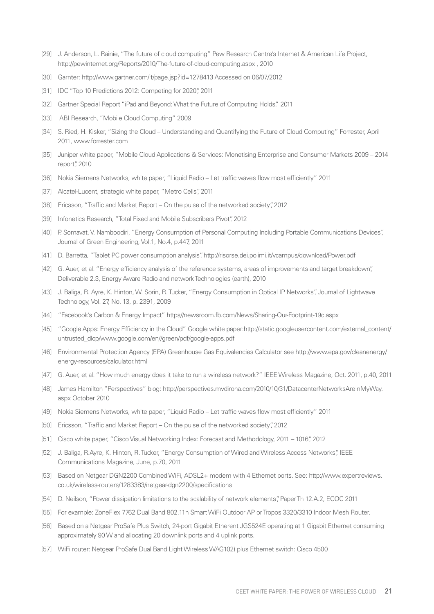- [29] J. Anderson, L. Rainie, "The future of cloud computing" Pew Research Centre's Internet & American Life Project, http://pewinternet.org/Reports/2010/The-future-of-cloud-computing.aspx , 2010
- [30] Garnter: http://www.gartner.com/it/page.jsp?id=1278413 Accessed on 06/07/2012
- [31] IDC "Top 10 Predictions 2012: Competing for 2020", 2011
- [32] Gartner Special Report "iPad and Beyond: What the Future of Computing Holds," 2011
- [33] ABI Research, "Mobile Cloud Computing" 2009
- [34] S. Ried, H. Kisker, "Sizing the Cloud Understanding and Quantifying the Future of Cloud Computing" Forrester, April 2011, www.forrester.com
- [35] Juniper white paper, "Mobile Cloud Applications & Services: Monetising Enterprise and Consumer Markets 2009 2014 report", 2010
- [36] Nokia Siemens Networks, white paper, "Liquid Radio Let traffic waves flow most efficiently" 2011
- [37] Alcatel-Lucent, strategic white paper, "Metro Cells", 2011
- [38] Ericsson, "Traffic and Market Report On the pulse of the networked society", 2012
- [39] Infonetics Research, "Total Fixed and Mobile Subscribers Pivot", 2012
- [40] P. Somavat, V. Namboodiri, "Energy Consumption of Personal Computing Including Portable Communications Devices", Journal of Green Engineering, Vol.1, No.4, p.447, 2011
- [41] D. Barretta, "Tablet PC power consumption analysis", http://risorse.dei.polimi.it/vcampus/download/Power.pdf
- [42] G. Auer, et al. "Energy efficiency analysis of the reference systems, areas of improvements and target breakdown", Deliverable 2.3, Energy Aware Radio and network Technologies (earth), 2010
- [43] J. Baliga, R. Ayre, K. Hinton, W. Sorin, R. Tucker, "Energy Consumption in Optical IP Networks", Journal of Lightwave Technology, Vol. 27, No. 13, p. 2391, 2009
- [44] "Facebook's Carbon & Energy Impact" https//newsroom.fb.com/News/Sharing-Our-Footprint-19c.aspx
- [45] "Google Apps: Energy Efficiency in the Cloud" Google white paper:http://static.googleusercontent.com/external\_content/ untrusted\_dlcp/www.google.com/en//green/pdf/google-apps.pdf
- [46] Environmental Protection Agency (EPA) Greenhouse Gas Equivalencies Calculator see http://www.epa.gov/cleanenergy/ energy-resources/calculator.html
- [47] G. Auer, et al. "How much energy does it take to run a wireless network?" IEEE Wireless Magazine, Oct. 2011, p.40, 2011
- [48] James Hamilton "Perspectives" blog: http://perspectives.mvdirona.com/2010/10/31/DatacenterNetworksAreInMyWay. aspx October 2010
- [49] Nokia Siemens Networks, white paper, "Liquid Radio Let traffic waves flow most efficiently" 2011
- [50] Ericsson, "Traffic and Market Report On the pulse of the networked society", 2012
- [51] Cisco white paper, "Cisco Visual Networking Index: Forecast and Methodology, 2011 1016", 2012
- [52] J. Baliga, R.Ayre, K. Hinton, R. Tucker, "Energy Consumption of Wired and Wireless Access Networks", IEEE Communications Magazine, June, p.70, 2011
- [53] Based on Netgear DGN2200 Combined WiFi, ADSL2+ modem with 4 Ethernet ports. See: http://www.expertreviews. co.uk/wireless-routers/1283383/netgear-dgn2200/specifications
- [54] D. Neilson, "Power dissipation limitations to the scalability of network elements", Paper Th 12.A.2, ECOC 2011
- [55] For example: ZoneFlex 7762 Dual Band 802.11n Smart WiFi Outdoor AP or Tropos 3320/3310 Indoor Mesh Router.
- [56] Based on a Netgear ProSafe Plus Switch, 24-port Gigabit Etherent JGS524E operating at 1 Gigabit Ethernet consuming approximately 90 W and allocating 20 downlink ports and 4 uplink ports.
- [57] WiFi router: Netgear ProSafe Dual Band Light Wireless WAG102) plus Ethernet switch: Cisco 4500